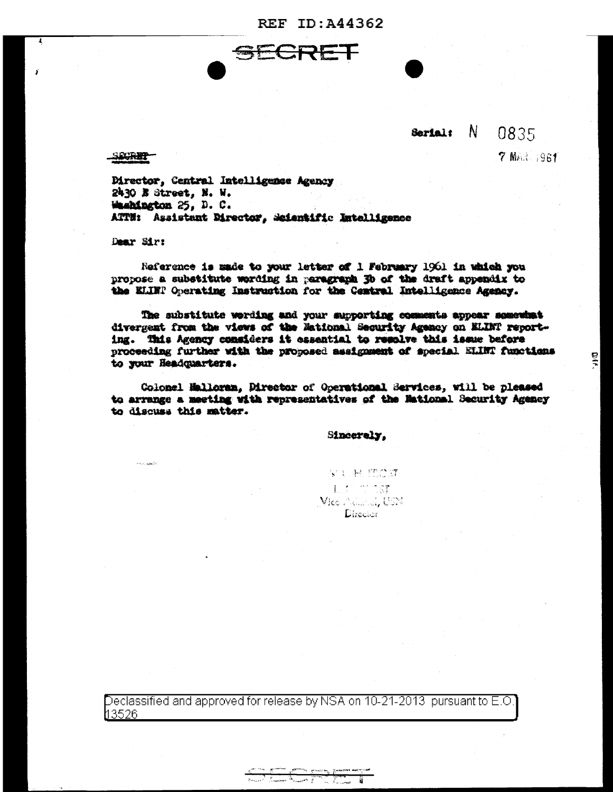**REF ID: A44362** 

## **Serial:** N 0835

**7 MAR 1961** 

 $\frac{1}{2}$ 

SOCRET-

7

Director, Central Intelligence Agency 2430 E Street, N. W. Washington 25, D. C. ATTN: Assistant Director, Scientific Intelligence

Dear Sir:

Reference is made to your letter of 1 February 1961 in which you propose a substitute wording in paragraph 3b of the draft appendix to the ELINP Operating Instruction for the Central Intelligence Agency.

The substitute wording and your supporting comments appear semewhat divergent from the views of the Mational Security Agency on ELINT reporting. This Agency considers it essential to resolve this issue before proceeding further with the proposed assignment of special ELINT functions to your Headquarters.

Colonel Halloran, Director of Operational Services, will be pleased to arrange a meeting with representatives of the National Security Agency to discuss this matter.

Sincerely,

WI H MOST Later of ST Vice Admiral, USN Director

Declassified and approved for release by NSA on 10-21-2013  $\,$  pursuant to E.O  $\,$ 13526.

**The Company of the Company**